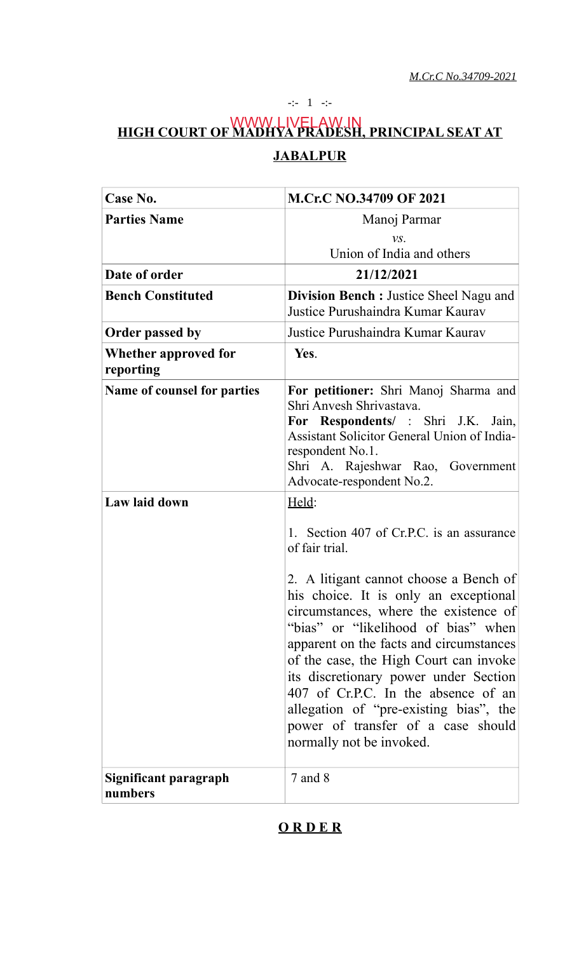-:- 1 -:-

## **HIGH COURT OF MADHYA PRADESH, PRINCIPAL SEAT AT JABALPUR** WWW.LIVELAW.IN

| Case No.                                     | <b>M.Cr.C NO.34709 OF 2021</b>                                                                                                                                                                                                                                                                                                                                                                                                                                                                                                                                                                                                                                                                                                                      |
|----------------------------------------------|-----------------------------------------------------------------------------------------------------------------------------------------------------------------------------------------------------------------------------------------------------------------------------------------------------------------------------------------------------------------------------------------------------------------------------------------------------------------------------------------------------------------------------------------------------------------------------------------------------------------------------------------------------------------------------------------------------------------------------------------------------|
| <b>Parties Name</b>                          | Manoj Parmar                                                                                                                                                                                                                                                                                                                                                                                                                                                                                                                                                                                                                                                                                                                                        |
|                                              | $VS$ .                                                                                                                                                                                                                                                                                                                                                                                                                                                                                                                                                                                                                                                                                                                                              |
|                                              | Union of India and others                                                                                                                                                                                                                                                                                                                                                                                                                                                                                                                                                                                                                                                                                                                           |
| Date of order                                | 21/12/2021                                                                                                                                                                                                                                                                                                                                                                                                                                                                                                                                                                                                                                                                                                                                          |
| <b>Bench Constituted</b>                     | <b>Division Bench:</b> Justice Sheel Nagu and<br>Justice Purushaindra Kumar Kaurav                                                                                                                                                                                                                                                                                                                                                                                                                                                                                                                                                                                                                                                                  |
| <b>Order passed by</b>                       | Justice Purushaindra Kumar Kaurav                                                                                                                                                                                                                                                                                                                                                                                                                                                                                                                                                                                                                                                                                                                   |
| <b>Whether approved for</b><br>reporting     | Yes.                                                                                                                                                                                                                                                                                                                                                                                                                                                                                                                                                                                                                                                                                                                                                |
| Name of counsel for parties<br>Law laid down | For petitioner: Shri Manoj Sharma and<br>Shri Anvesh Shrivastava.<br>For Respondents/ : Shri J.K. Jain,<br><b>Assistant Solicitor General Union of India-</b><br>respondent No.1.<br>Shri A. Rajeshwar Rao, Government<br>Advocate-respondent No.2.<br>Held:<br>1. Section 407 of Cr.P.C. is an assurance<br>of fair trial.<br>2. A litigant cannot choose a Bench of<br>his choice. It is only an exceptional<br>circumstances, where the existence of<br>"bias" or "likelihood of bias" when<br>apparent on the facts and circumstances<br>of the case, the High Court can invoke<br>its discretionary power under Section<br>407 of Cr.P.C. In the absence of an<br>allegation of "pre-existing bias", the<br>power of transfer of a case should |
| Significant paragraph<br>numbers             | normally not be invoked.<br>$7$ and $8$                                                                                                                                                                                                                                                                                                                                                                                                                                                                                                                                                                                                                                                                                                             |

# **O R D E R**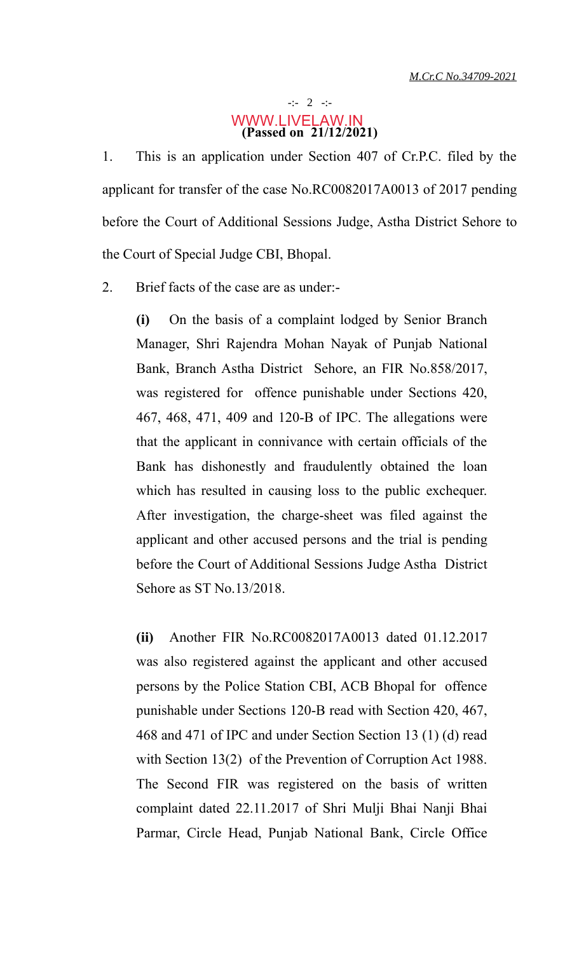### -:- 2 -:- **(Passed on 21/12/2021)** WWW.LIVELAW.IN

1. This is an application under Section 407 of Cr.P.C. filed by the applicant for transfer of the case No.RC0082017A0013 of 2017 pending before the Court of Additional Sessions Judge, Astha District Sehore to the Court of Special Judge CBI, Bhopal.

2. Brief facts of the case are as under:-

**(i)** On the basis of a complaint lodged by Senior Branch Manager, Shri Rajendra Mohan Nayak of Punjab National Bank, Branch Astha District Sehore, an FIR No.858/2017, was registered for offence punishable under Sections 420, 467, 468, 471, 409 and 120-B of IPC. The allegations were that the applicant in connivance with certain officials of the Bank has dishonestly and fraudulently obtained the loan which has resulted in causing loss to the public exchequer. After investigation, the charge-sheet was filed against the applicant and other accused persons and the trial is pending before the Court of Additional Sessions Judge Astha District Sehore as ST No.13/2018.

**(ii)** Another FIR No.RC0082017A0013 dated 01.12.2017 was also registered against the applicant and other accused persons by the Police Station CBI, ACB Bhopal for offence punishable under Sections 120-B read with Section 420, 467, 468 and 471 of IPC and under Section Section 13 (1) (d) read with Section 13(2) of the Prevention of Corruption Act 1988. The Second FIR was registered on the basis of written complaint dated 22.11.2017 of Shri Mulji Bhai Nanji Bhai Parmar, Circle Head, Punjab National Bank, Circle Office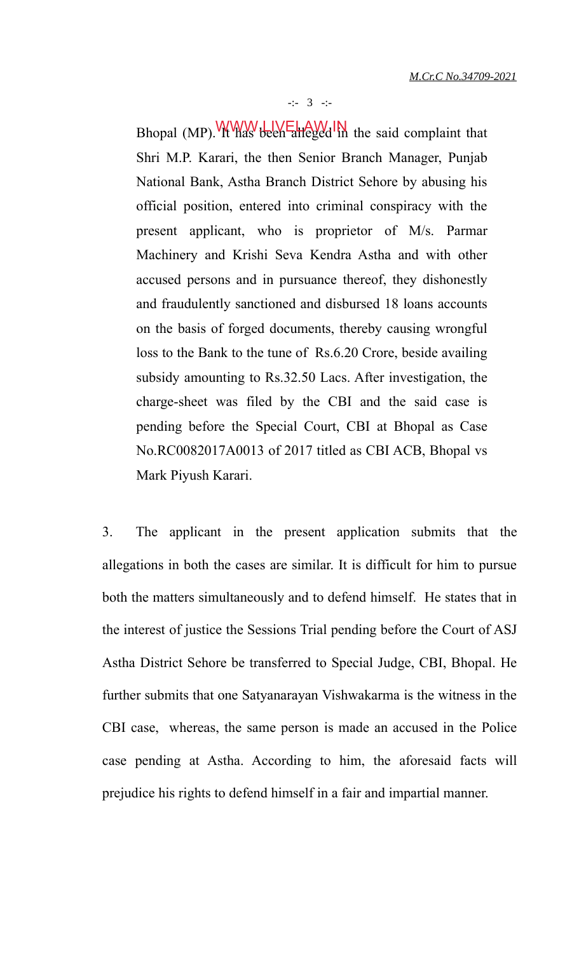-:- 3 -:-

Bhopal (MP). Www.ullicentralleged in the said complaint that Shri M.P. Karari, the then Senior Branch Manager, Punjab National Bank, Astha Branch District Sehore by abusing his official position, entered into criminal conspiracy with the present applicant, who is proprietor of M/s. Parmar Machinery and Krishi Seva Kendra Astha and with other accused persons and in pursuance thereof, they dishonestly and fraudulently sanctioned and disbursed 18 loans accounts on the basis of forged documents, thereby causing wrongful loss to the Bank to the tune of Rs.6.20 Crore, beside availing subsidy amounting to Rs.32.50 Lacs. After investigation, the charge-sheet was filed by the CBI and the said case is pending before the Special Court, CBI at Bhopal as Case No.RC0082017A0013 of 2017 titled as CBI ACB, Bhopal vs Mark Piyush Karari.

3. The applicant in the present application submits that the allegations in both the cases are similar. It is difficult for him to pursue both the matters simultaneously and to defend himself. He states that in the interest of justice the Sessions Trial pending before the Court of ASJ Astha District Sehore be transferred to Special Judge, CBI, Bhopal. He further submits that one Satyanarayan Vishwakarma is the witness in the CBI case, whereas, the same person is made an accused in the Police case pending at Astha. According to him, the aforesaid facts will prejudice his rights to defend himself in a fair and impartial manner.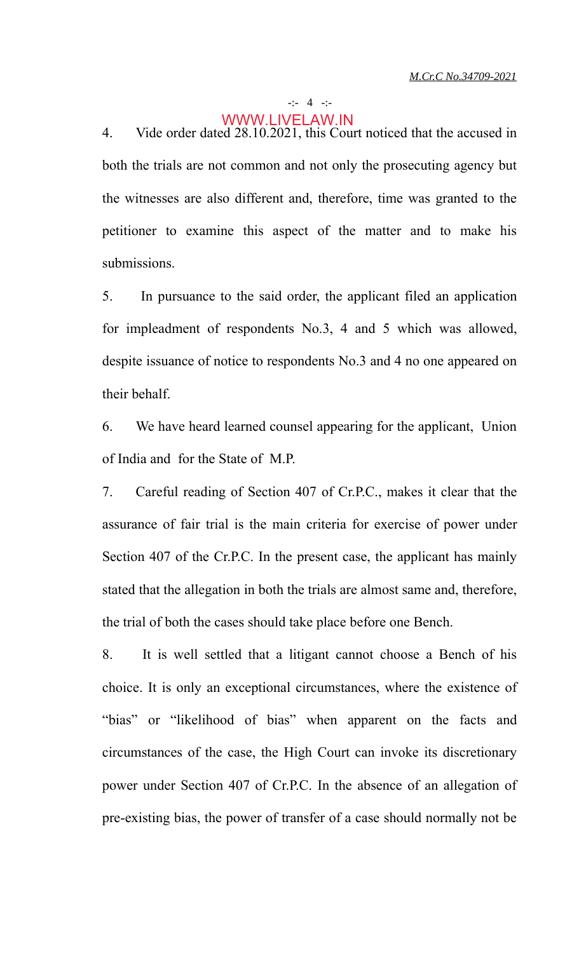#### -:- 4 -:-

### WWW.LIVELAW.IN

4. Vide order dated 28.10.2021, this Court noticed that the accused in both the trials are not common and not only the prosecuting agency but the witnesses are also different and, therefore, time was granted to the petitioner to examine this aspect of the matter and to make his submissions.

5. In pursuance to the said order, the applicant filed an application for impleadment of respondents No.3, 4 and 5 which was allowed, despite issuance of notice to respondents No.3 and 4 no one appeared on their behalf.

6. We have heard learned counsel appearing for the applicant, Union of India and for the State of M.P.

7. Careful reading of Section 407 of Cr.P.C., makes it clear that the assurance of fair trial is the main criteria for exercise of power under Section 407 of the Cr.P.C. In the present case, the applicant has mainly stated that the allegation in both the trials are almost same and, therefore, the trial of both the cases should take place before one Bench.

8. It is well settled that a litigant cannot choose a Bench of his choice. It is only an exceptional circumstances, where the existence of "bias" or "likelihood of bias" when apparent on the facts and circumstances of the case, the High Court can invoke its discretionary power under Section 407 of Cr.P.C. In the absence of an allegation of pre-existing bias, the power of transfer of a case should normally not be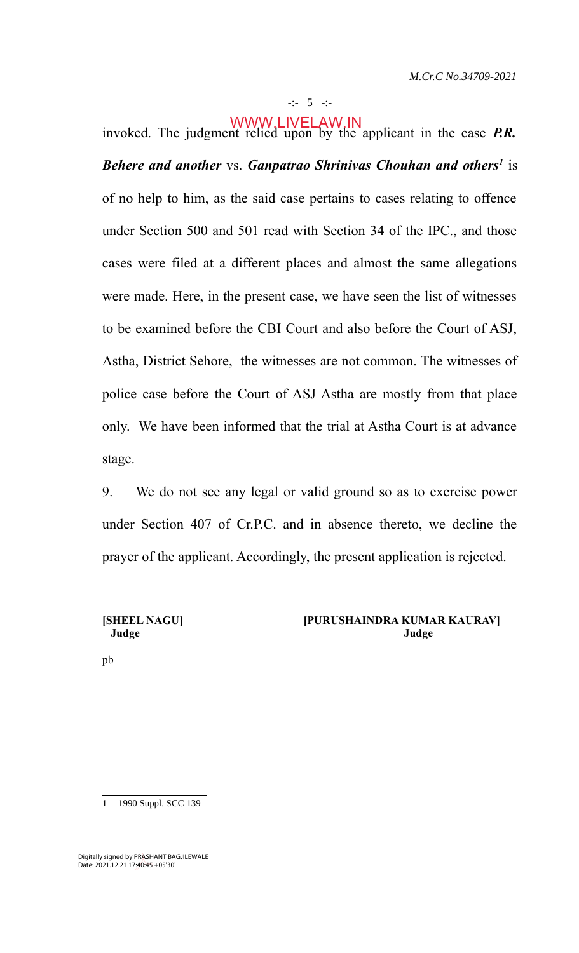invoked. The judgment relied upon by the applicant in the case *P.R. Behere and another* vs. *Ganpatrao Shrinivas Chouhan and others<sup>1</sup>* is of no help to him, as the said case pertains to cases relating to offence under Section 500 and 501 read with Section 34 of the IPC., and those cases were filed at a different places and almost the same allegations were made. Here, in the present case, we have seen the list of witnesses to be examined before the CBI Court and also before the Court of ASJ, Astha, District Sehore, the witnesses are not common. The witnesses of police case before the Court of ASJ Astha are mostly from that place only. We have been informed that the trial at Astha Court is at advance stage. WWW.LIVELAW.IN

9. We do not see any legal or valid ground so as to exercise power under Section 407 of Cr.P.C. and in absence thereto, we decline the prayer of the applicant. Accordingly, the present application is rejected.

#### **[SHEEL NAGU] [PURUSHAINDRA KUMAR KAURAV] Judge Judge**

pb

1 1990 Suppl. SCC 139

Digitally signed by PRASHANT BAGJILEWALE Date: 2021.12.21 17:40:45 +05'30'